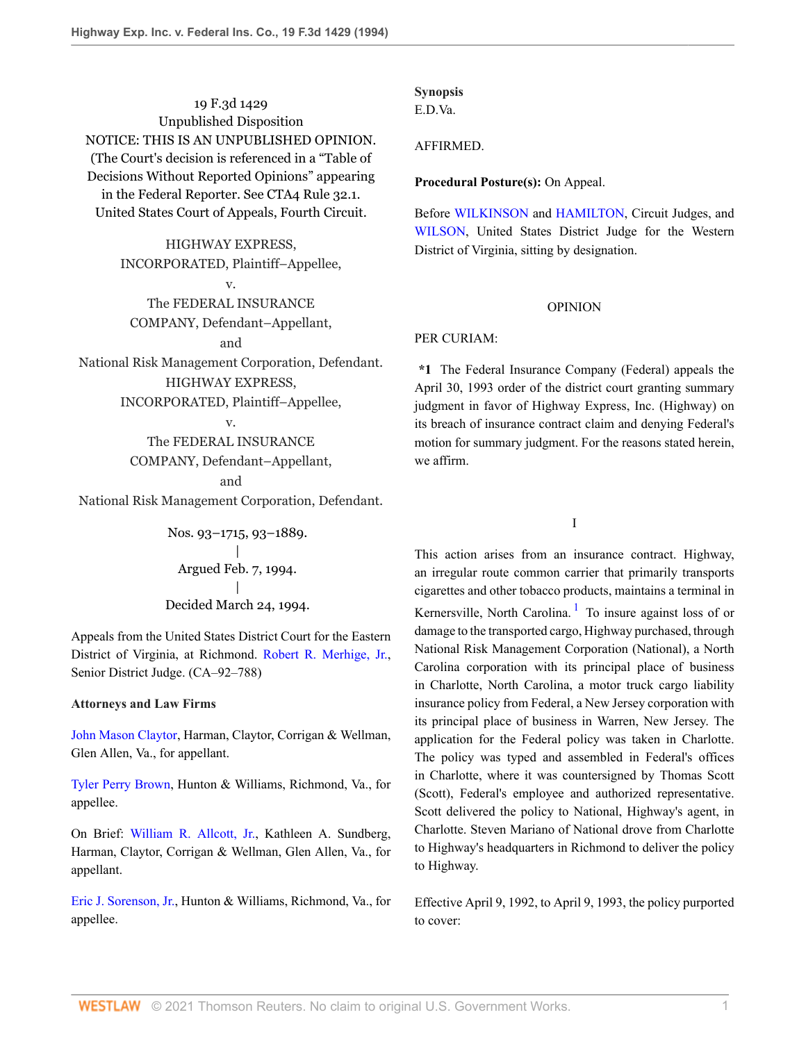19 F.3d 1429 Unpublished Disposition NOTICE: THIS IS AN UNPUBLISHED OPINION. (The Court's decision is referenced in a "Table of Decisions Without Reported Opinions" appearing in the Federal Reporter. See CTA4 Rule 32.1. United States Court of Appeals, Fourth Circuit.

> HIGHWAY EXPRESS, INCORPORATED, Plaintiff–Appellee,

> > v.

The FEDERAL INSURANCE COMPANY, Defendant–Appellant,

and

National Risk Management Corporation, Defendant. HIGHWAY EXPRESS,

INCORPORATED, Plaintiff–Appellee,

v.

# The FEDERAL INSURANCE

COMPANY, Defendant–Appellant,

and

National Risk Management Corporation, Defendant.

Nos. 93–1715, 93–1889. | Argued Feb. 7, 1994. | Decided March 24, 1994.

Appeals from the United States District Court for the Eastern District of Virginia, at Richmond. [Robert R. Merhige, Jr.](http://www.westlaw.com/Link/Document/FullText?findType=h&pubNum=176284&cite=0239158501&originatingDoc=I87cdcacc970211d993e6d35cc61aab4a&refType=RQ&originationContext=document&vr=3.0&rs=cblt1.0&transitionType=DocumentItem&contextData=(sc.DocLink)), Senior District Judge. (CA–92–788)

### **Attorneys and Law Firms**

[John Mason Claytor,](http://www.westlaw.com/Link/Document/FullText?findType=h&pubNum=176284&cite=0104848301&originatingDoc=I87cdcacc970211d993e6d35cc61aab4a&refType=RQ&originationContext=document&vr=3.0&rs=cblt1.0&transitionType=DocumentItem&contextData=(sc.DocLink)) Harman, Claytor, Corrigan & Wellman, Glen Allen, Va., for appellant.

[Tyler Perry Brown,](http://www.westlaw.com/Link/Document/FullText?findType=h&pubNum=176284&cite=0112383501&originatingDoc=I87cdcacc970211d993e6d35cc61aab4a&refType=RQ&originationContext=document&vr=3.0&rs=cblt1.0&transitionType=DocumentItem&contextData=(sc.DocLink)) Hunton & Williams, Richmond, Va., for appellee.

On Brief: [William R. Allcott, Jr.,](http://www.westlaw.com/Link/Document/FullText?findType=h&pubNum=176284&cite=0335177401&originatingDoc=I87cdcacc970211d993e6d35cc61aab4a&refType=RQ&originationContext=document&vr=3.0&rs=cblt1.0&transitionType=DocumentItem&contextData=(sc.DocLink)) Kathleen A. Sundberg, Harman, Claytor, Corrigan & Wellman, Glen Allen, Va., for appellant.

[Eric J. Sorenson, Jr.,](http://www.westlaw.com/Link/Document/FullText?findType=h&pubNum=176284&cite=0211355301&originatingDoc=I87cdcacc970211d993e6d35cc61aab4a&refType=RQ&originationContext=document&vr=3.0&rs=cblt1.0&transitionType=DocumentItem&contextData=(sc.DocLink)) Hunton & Williams, Richmond, Va., for appellee.

# **Synopsis**

E.D.Va.

# AFFIRMED.

# **Procedural Posture(s):** On Appeal.

Before [WILKINSON](http://www.westlaw.com/Link/Document/FullText?findType=h&pubNum=176284&cite=0204886001&originatingDoc=I87cdcacc970211d993e6d35cc61aab4a&refType=RQ&originationContext=document&vr=3.0&rs=cblt1.0&transitionType=DocumentItem&contextData=(sc.DocLink)) and [HAMILTON,](http://www.westlaw.com/Link/Document/FullText?findType=h&pubNum=176284&cite=0259841201&originatingDoc=I87cdcacc970211d993e6d35cc61aab4a&refType=RQ&originationContext=document&vr=3.0&rs=cblt1.0&transitionType=DocumentItem&contextData=(sc.DocLink)) Circuit Judges, and [WILSON,](http://www.westlaw.com/Link/Document/FullText?findType=h&pubNum=176284&cite=0318298801&originatingDoc=I87cdcacc970211d993e6d35cc61aab4a&refType=RQ&originationContext=document&vr=3.0&rs=cblt1.0&transitionType=DocumentItem&contextData=(sc.DocLink)) United States District Judge for the Western District of Virginia, sitting by designation.

# OPINION

# PER CURIAM:

**\*1** The Federal Insurance Company (Federal) appeals the April 30, 1993 order of the district court granting summary judgment in favor of Highway Express, Inc. (Highway) on its breach of insurance contract claim and denying Federal's motion for summary judgment. For the reasons stated herein, we affirm.

<span id="page-0-0"></span>I

This action arises from an insurance contract. Highway, an irregular route common carrier that primarily transports cigarettes and other tobacco products, maintains a terminal in Kernersville, North Carolina.<sup>[1](#page-6-0)</sup> To insure against loss of or damage to the transported cargo, Highway purchased, through National Risk Management Corporation (National), a North Carolina corporation with its principal place of business in Charlotte, North Carolina, a motor truck cargo liability insurance policy from Federal, a New Jersey corporation with its principal place of business in Warren, New Jersey. The application for the Federal policy was taken in Charlotte. The policy was typed and assembled in Federal's offices in Charlotte, where it was countersigned by Thomas Scott (Scott), Federal's employee and authorized representative. Scott delivered the policy to National, Highway's agent, in Charlotte. Steven Mariano of National drove from Charlotte to Highway's headquarters in Richmond to deliver the policy to Highway.

Effective April 9, 1992, to April 9, 1993, the policy purported to cover: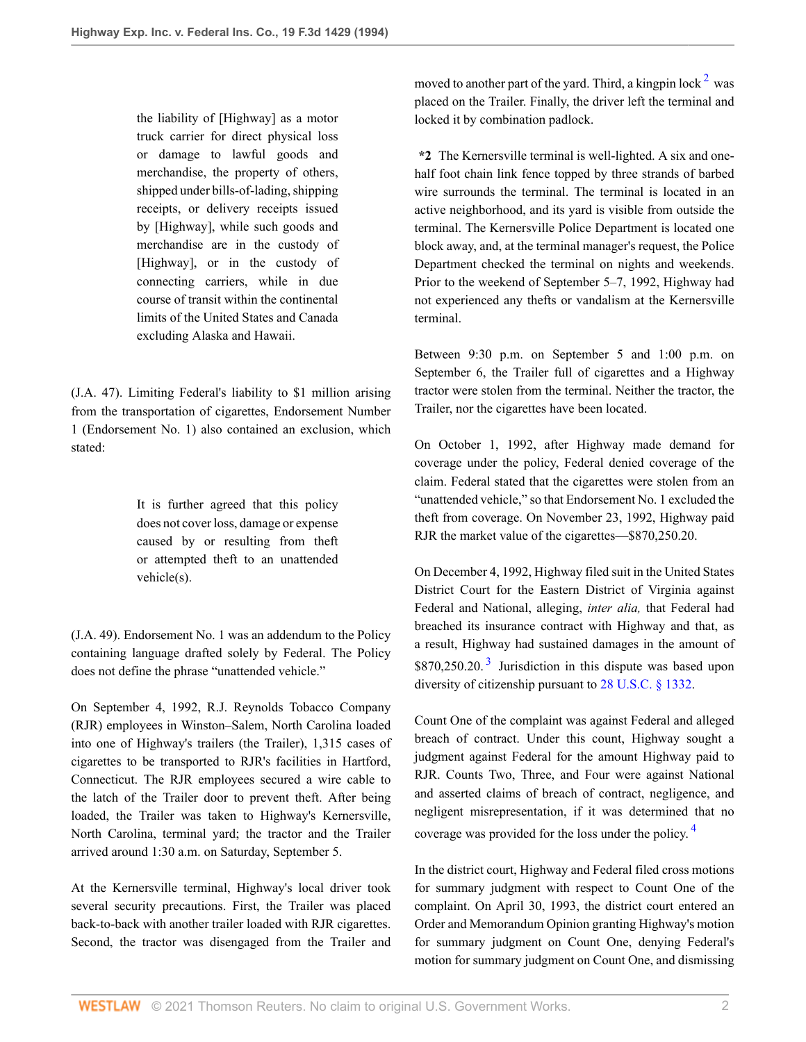the liability of [Highway] as a motor truck carrier for direct physical loss or damage to lawful goods and merchandise, the property of others, shipped under bills-of-lading, shipping receipts, or delivery receipts issued by [Highway], while such goods and merchandise are in the custody of [Highway], or in the custody of connecting carriers, while in due course of transit within the continental limits of the United States and Canada excluding Alaska and Hawaii.

(J.A. 47). Limiting Federal's liability to \$1 million arising from the transportation of cigarettes, Endorsement Number 1 (Endorsement No. 1) also contained an exclusion, which stated:

> It is further agreed that this policy does not cover loss, damage or expense caused by or resulting from theft or attempted theft to an unattended vehicle(s).

(J.A. 49). Endorsement No. 1 was an addendum to the Policy containing language drafted solely by Federal. The Policy does not define the phrase "unattended vehicle."

On September 4, 1992, R.J. Reynolds Tobacco Company (RJR) employees in Winston–Salem, North Carolina loaded into one of Highway's trailers (the Trailer), 1,315 cases of cigarettes to be transported to RJR's facilities in Hartford, Connecticut. The RJR employees secured a wire cable to the latch of the Trailer door to prevent theft. After being loaded, the Trailer was taken to Highway's Kernersville, North Carolina, terminal yard; the tractor and the Trailer arrived around 1:30 a.m. on Saturday, September 5.

At the Kernersville terminal, Highway's local driver took several security precautions. First, the Trailer was placed back-to-back with another trailer loaded with RJR cigarettes. Second, the tractor was disengaged from the Trailer and

<span id="page-1-0"></span>moved to another part of the yard. Third, a kingpin lock  $2$  was placed on the Trailer. Finally, the driver left the terminal and locked it by combination padlock.

**\*2** The Kernersville terminal is well-lighted. A six and onehalf foot chain link fence topped by three strands of barbed wire surrounds the terminal. The terminal is located in an active neighborhood, and its yard is visible from outside the terminal. The Kernersville Police Department is located one block away, and, at the terminal manager's request, the Police Department checked the terminal on nights and weekends. Prior to the weekend of September 5–7, 1992, Highway had not experienced any thefts or vandalism at the Kernersville terminal.

Between 9:30 p.m. on September 5 and 1:00 p.m. on September 6, the Trailer full of cigarettes and a Highway tractor were stolen from the terminal. Neither the tractor, the Trailer, nor the cigarettes have been located.

On October 1, 1992, after Highway made demand for coverage under the policy, Federal denied coverage of the claim. Federal stated that the cigarettes were stolen from an "unattended vehicle," so that Endorsement No. 1 excluded the theft from coverage. On November 23, 1992, Highway paid RJR the market value of the cigarettes—\$870,250.20.

On December 4, 1992, Highway filed suit in the United States District Court for the Eastern District of Virginia against Federal and National, alleging, *inter alia,* that Federal had breached its insurance contract with Highway and that, as a result, Highway had sustained damages in the amount of  $$870,250.20$ .<sup>[3](#page-6-2)</sup> Jurisdiction in this dispute was based upon diversity of citizenship pursuant to [28 U.S.C. § 1332.](http://www.westlaw.com/Link/Document/FullText?findType=L&pubNum=1000546&cite=28USCAS1332&originatingDoc=I87cdcacc970211d993e6d35cc61aab4a&refType=LQ&originationContext=document&vr=3.0&rs=cblt1.0&transitionType=DocumentItem&contextData=(sc.DocLink))

<span id="page-1-1"></span>Count One of the complaint was against Federal and alleged breach of contract. Under this count, Highway sought a judgment against Federal for the amount Highway paid to RJR. Counts Two, Three, and Four were against National and asserted claims of breach of contract, negligence, and negligent misrepresentation, if it was determined that no coverage was provided for the loss under the policy. [4](#page-6-3)

<span id="page-1-2"></span>In the district court, Highway and Federal filed cross motions for summary judgment with respect to Count One of the complaint. On April 30, 1993, the district court entered an Order and Memorandum Opinion granting Highway's motion for summary judgment on Count One, denying Federal's motion for summary judgment on Count One, and dismissing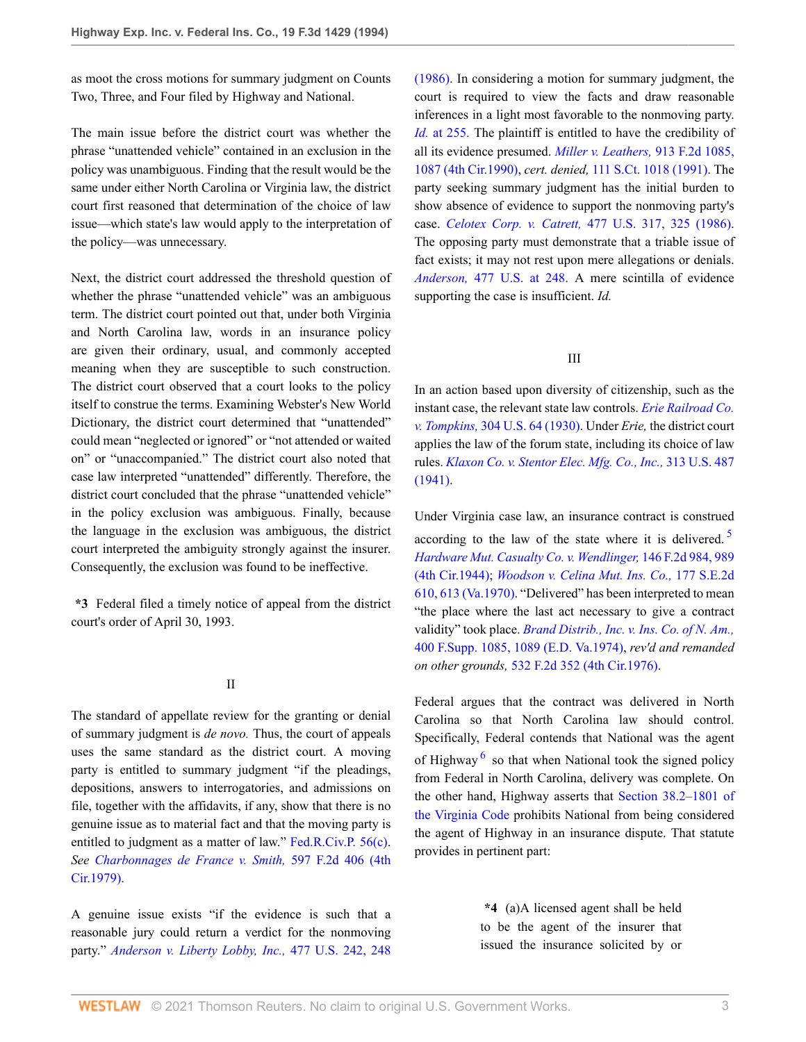as moot the cross motions for summary judgment on Counts Two, Three, and Four filed by Highway and National.

The main issue before the district court was whether the phrase "unattended vehicle" contained in an exclusion in the policy was unambiguous. Finding that the result would be the same under either North Carolina or Virginia law, the district court first reasoned that determination of the choice of law issue—which state's law would apply to the interpretation of the policy—was unnecessary.

Next, the district court addressed the threshold question of whether the phrase "unattended vehicle" was an ambiguous term. The district court pointed out that, under both Virginia and North Carolina law, words in an insurance policy are given their ordinary, usual, and commonly accepted meaning when they are susceptible to such construction. The district court observed that a court looks to the policy itself to construe the terms. Examining Webster's New World Dictionary, the district court determined that "unattended" could mean "neglected or ignored" or "not attended or waited on" or "unaccompanied." The district court also noted that case law interpreted "unattended" differently. Therefore, the district court concluded that the phrase "unattended vehicle" in the policy exclusion was ambiguous. Finally, because the language in the exclusion was ambiguous, the district court interpreted the ambiguity strongly against the insurer. Consequently, the exclusion was found to be ineffective.

**\*3** Federal filed a timely notice of appeal from the district court's order of April 30, 1993.

#### II

The standard of appellate review for the granting or denial of summary judgment is *de novo.* Thus, the court of appeals uses the same standard as the district court. A moving party is entitled to summary judgment "if the pleadings, depositions, answers to interrogatories, and admissions on file, together with the affidavits, if any, show that there is no genuine issue as to material fact and that the moving party is entitled to judgment as a matter of law." [Fed.R.Civ.P. 56\(c\)](http://www.westlaw.com/Link/Document/FullText?findType=L&pubNum=1004365&cite=USFRCPR56&originatingDoc=I87cdcacc970211d993e6d35cc61aab4a&refType=LQ&originationContext=document&vr=3.0&rs=cblt1.0&transitionType=DocumentItem&contextData=(sc.DocLink)). *See [Charbonnages de France v. Smith,](http://www.westlaw.com/Link/Document/FullText?findType=Y&serNum=1979112736&pubNum=350&originatingDoc=I87cdcacc970211d993e6d35cc61aab4a&refType=RP&originationContext=document&vr=3.0&rs=cblt1.0&transitionType=DocumentItem&contextData=(sc.DocLink))* 597 F.2d 406 (4th [Cir.1979\)](http://www.westlaw.com/Link/Document/FullText?findType=Y&serNum=1979112736&pubNum=350&originatingDoc=I87cdcacc970211d993e6d35cc61aab4a&refType=RP&originationContext=document&vr=3.0&rs=cblt1.0&transitionType=DocumentItem&contextData=(sc.DocLink)).

A genuine issue exists "if the evidence is such that a reasonable jury could return a verdict for the nonmoving party." *[Anderson v. Liberty Lobby, Inc.,](http://www.westlaw.com/Link/Document/FullText?findType=Y&serNum=1986132674&pubNum=780&originatingDoc=I87cdcacc970211d993e6d35cc61aab4a&refType=RP&fi=co_pp_sp_780_248&originationContext=document&vr=3.0&rs=cblt1.0&transitionType=DocumentItem&contextData=(sc.DocLink)#co_pp_sp_780_248)* 477 U.S. 242, 248 [\(1986\).](http://www.westlaw.com/Link/Document/FullText?findType=Y&serNum=1986132674&pubNum=780&originatingDoc=I87cdcacc970211d993e6d35cc61aab4a&refType=RP&fi=co_pp_sp_780_248&originationContext=document&vr=3.0&rs=cblt1.0&transitionType=DocumentItem&contextData=(sc.DocLink)#co_pp_sp_780_248) In considering a motion for summary judgment, the court is required to view the facts and draw reasonable inferences in a light most favorable to the nonmoving party. *Id.* [at 255.](http://www.westlaw.com/Link/Document/FullText?findType=Y&serNum=1986132674&originatingDoc=I87cdcacc970211d993e6d35cc61aab4a&refType=RP&originationContext=document&vr=3.0&rs=cblt1.0&transitionType=DocumentItem&contextData=(sc.DocLink)) The plaintiff is entitled to have the credibility of all its evidence presumed. *[Miller v. Leathers,](http://www.westlaw.com/Link/Document/FullText?findType=Y&serNum=1990132538&pubNum=350&originatingDoc=I87cdcacc970211d993e6d35cc61aab4a&refType=RP&fi=co_pp_sp_350_1087&originationContext=document&vr=3.0&rs=cblt1.0&transitionType=DocumentItem&contextData=(sc.DocLink)#co_pp_sp_350_1087)* 913 F.2d 1085, [1087 \(4th Cir.1990\),](http://www.westlaw.com/Link/Document/FullText?findType=Y&serNum=1990132538&pubNum=350&originatingDoc=I87cdcacc970211d993e6d35cc61aab4a&refType=RP&fi=co_pp_sp_350_1087&originationContext=document&vr=3.0&rs=cblt1.0&transitionType=DocumentItem&contextData=(sc.DocLink)#co_pp_sp_350_1087) *cert. denied,* [111 S.Ct. 1018 \(1991\).](http://www.westlaw.com/Link/Document/FullText?findType=Y&serNum=1991024178&pubNum=708&originatingDoc=I87cdcacc970211d993e6d35cc61aab4a&refType=RP&originationContext=document&vr=3.0&rs=cblt1.0&transitionType=DocumentItem&contextData=(sc.DocLink)) The party seeking summary judgment has the initial burden to show absence of evidence to support the nonmoving party's case. *Celotex Corp. v. Catrett,* [477 U.S. 317, 325 \(1986\)](http://www.westlaw.com/Link/Document/FullText?findType=Y&serNum=1986132677&pubNum=780&originatingDoc=I87cdcacc970211d993e6d35cc61aab4a&refType=RP&fi=co_pp_sp_780_325&originationContext=document&vr=3.0&rs=cblt1.0&transitionType=DocumentItem&contextData=(sc.DocLink)#co_pp_sp_780_325). The opposing party must demonstrate that a triable issue of fact exists; it may not rest upon mere allegations or denials. *Anderson,* [477 U.S. at 248.](http://www.westlaw.com/Link/Document/FullText?findType=Y&serNum=1986132674&pubNum=780&originatingDoc=I87cdcacc970211d993e6d35cc61aab4a&refType=RP&fi=co_pp_sp_780_248&originationContext=document&vr=3.0&rs=cblt1.0&transitionType=DocumentItem&contextData=(sc.DocLink)#co_pp_sp_780_248) A mere scintilla of evidence supporting the case is insufficient. *Id.*

#### <span id="page-2-0"></span>III

In an action based upon diversity of citizenship, such as the instant case, the relevant state law controls. *[Erie Railroad Co.](http://www.westlaw.com/Link/Document/FullText?findType=Y&serNum=1938121079&pubNum=780&originatingDoc=I87cdcacc970211d993e6d35cc61aab4a&refType=RP&originationContext=document&vr=3.0&rs=cblt1.0&transitionType=DocumentItem&contextData=(sc.DocLink)) v. Tompkins,* [304 U.S. 64 \(1930\).](http://www.westlaw.com/Link/Document/FullText?findType=Y&serNum=1938121079&pubNum=780&originatingDoc=I87cdcacc970211d993e6d35cc61aab4a&refType=RP&originationContext=document&vr=3.0&rs=cblt1.0&transitionType=DocumentItem&contextData=(sc.DocLink)) Under *Erie,* the district court applies the law of the forum state, including its choice of law rules. *[Klaxon Co. v. Stentor Elec. Mfg. Co., Inc.,](http://www.westlaw.com/Link/Document/FullText?findType=Y&serNum=1941124504&pubNum=780&originatingDoc=I87cdcacc970211d993e6d35cc61aab4a&refType=RP&originationContext=document&vr=3.0&rs=cblt1.0&transitionType=DocumentItem&contextData=(sc.DocLink))* 313 U.S. 487 [\(1941\).](http://www.westlaw.com/Link/Document/FullText?findType=Y&serNum=1941124504&pubNum=780&originatingDoc=I87cdcacc970211d993e6d35cc61aab4a&refType=RP&originationContext=document&vr=3.0&rs=cblt1.0&transitionType=DocumentItem&contextData=(sc.DocLink))

Under Virginia case law, an insurance contract is construed according to the law of the state where it is delivered.<sup>[5](#page-6-4)</sup> *[Hardware Mut. Casualty Co. v. Wendlinger,](http://www.westlaw.com/Link/Document/FullText?findType=Y&serNum=1945114785&pubNum=350&originatingDoc=I87cdcacc970211d993e6d35cc61aab4a&refType=RP&fi=co_pp_sp_350_989&originationContext=document&vr=3.0&rs=cblt1.0&transitionType=DocumentItem&contextData=(sc.DocLink)#co_pp_sp_350_989)* 146 F.2d 984, 989 [\(4th Cir.1944\);](http://www.westlaw.com/Link/Document/FullText?findType=Y&serNum=1945114785&pubNum=350&originatingDoc=I87cdcacc970211d993e6d35cc61aab4a&refType=RP&fi=co_pp_sp_350_989&originationContext=document&vr=3.0&rs=cblt1.0&transitionType=DocumentItem&contextData=(sc.DocLink)#co_pp_sp_350_989) *[Woodson v. Celina Mut. Ins. Co.,](http://www.westlaw.com/Link/Document/FullText?findType=Y&serNum=1970135966&pubNum=711&originatingDoc=I87cdcacc970211d993e6d35cc61aab4a&refType=RP&fi=co_pp_sp_711_613&originationContext=document&vr=3.0&rs=cblt1.0&transitionType=DocumentItem&contextData=(sc.DocLink)#co_pp_sp_711_613)* 177 S.E.2d [610, 613 \(Va.1970\)](http://www.westlaw.com/Link/Document/FullText?findType=Y&serNum=1970135966&pubNum=711&originatingDoc=I87cdcacc970211d993e6d35cc61aab4a&refType=RP&fi=co_pp_sp_711_613&originationContext=document&vr=3.0&rs=cblt1.0&transitionType=DocumentItem&contextData=(sc.DocLink)#co_pp_sp_711_613). "Delivered" has been interpreted to mean "the place where the last act necessary to give a contract validity" took place. *[Brand Distrib., Inc. v. Ins. Co. of N. Am.,](http://www.westlaw.com/Link/Document/FullText?findType=Y&serNum=1974108645&pubNum=345&originatingDoc=I87cdcacc970211d993e6d35cc61aab4a&refType=RP&fi=co_pp_sp_345_1089&originationContext=document&vr=3.0&rs=cblt1.0&transitionType=DocumentItem&contextData=(sc.DocLink)#co_pp_sp_345_1089)* [400 F.Supp. 1085, 1089 \(E.D. Va.1974\),](http://www.westlaw.com/Link/Document/FullText?findType=Y&serNum=1974108645&pubNum=345&originatingDoc=I87cdcacc970211d993e6d35cc61aab4a&refType=RP&fi=co_pp_sp_345_1089&originationContext=document&vr=3.0&rs=cblt1.0&transitionType=DocumentItem&contextData=(sc.DocLink)#co_pp_sp_345_1089) *rev'd and remanded on other grounds,* [532 F.2d 352 \(4th Cir.1976\).](http://www.westlaw.com/Link/Document/FullText?findType=Y&serNum=1976145695&pubNum=350&originatingDoc=I87cdcacc970211d993e6d35cc61aab4a&refType=RP&originationContext=document&vr=3.0&rs=cblt1.0&transitionType=DocumentItem&contextData=(sc.DocLink))

<span id="page-2-1"></span>Federal argues that the contract was delivered in North Carolina so that North Carolina law should control. Specifically, Federal contends that National was the agent of Highway<sup>[6](#page-6-5)</sup> so that when National took the signed policy from Federal in North Carolina, delivery was complete. On the other hand, Highway asserts that [Section 38.2–1801 of](http://www.westlaw.com/Link/Document/FullText?findType=L&pubNum=1000040&cite=VASTS38.2-1801&originatingDoc=I87cdcacc970211d993e6d35cc61aab4a&refType=LQ&originationContext=document&vr=3.0&rs=cblt1.0&transitionType=DocumentItem&contextData=(sc.DocLink)) [the Virginia Code](http://www.westlaw.com/Link/Document/FullText?findType=L&pubNum=1000040&cite=VASTS38.2-1801&originatingDoc=I87cdcacc970211d993e6d35cc61aab4a&refType=LQ&originationContext=document&vr=3.0&rs=cblt1.0&transitionType=DocumentItem&contextData=(sc.DocLink)) prohibits National from being considered the agent of Highway in an insurance dispute. That statute provides in pertinent part:

> **\*4** (a)A licensed agent shall be held to be the agent of the insurer that issued the insurance solicited by or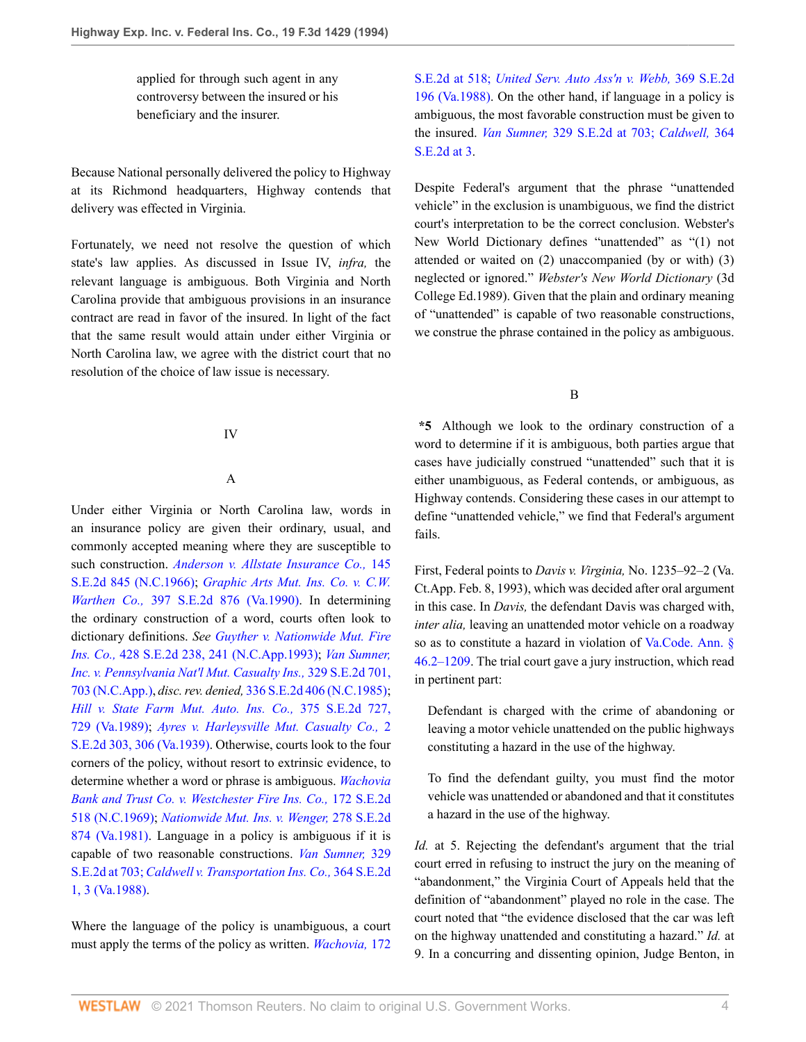applied for through such agent in any controversy between the insured or his beneficiary and the insurer.

Because National personally delivered the policy to Highway at its Richmond headquarters, Highway contends that delivery was effected in Virginia.

Fortunately, we need not resolve the question of which state's law applies. As discussed in Issue IV, *infra,* the relevant language is ambiguous. Both Virginia and North Carolina provide that ambiguous provisions in an insurance contract are read in favor of the insured. In light of the fact that the same result would attain under either Virginia or North Carolina law, we agree with the district court that no resolution of the choice of law issue is necessary.

#### IV

## A

Under either Virginia or North Carolina law, words in an insurance policy are given their ordinary, usual, and commonly accepted meaning where they are susceptible to such construction. *[Anderson v. Allstate Insurance Co.,](http://www.westlaw.com/Link/Document/FullText?findType=Y&serNum=1966112637&pubNum=711&originatingDoc=I87cdcacc970211d993e6d35cc61aab4a&refType=RP&originationContext=document&vr=3.0&rs=cblt1.0&transitionType=DocumentItem&contextData=(sc.DocLink))* 145 [S.E.2d 845 \(N.C.1966\);](http://www.westlaw.com/Link/Document/FullText?findType=Y&serNum=1966112637&pubNum=711&originatingDoc=I87cdcacc970211d993e6d35cc61aab4a&refType=RP&originationContext=document&vr=3.0&rs=cblt1.0&transitionType=DocumentItem&contextData=(sc.DocLink)) *[Graphic Arts Mut. Ins. Co. v. C.W.](http://www.westlaw.com/Link/Document/FullText?findType=Y&serNum=1990162039&pubNum=711&originatingDoc=I87cdcacc970211d993e6d35cc61aab4a&refType=RP&originationContext=document&vr=3.0&rs=cblt1.0&transitionType=DocumentItem&contextData=(sc.DocLink)) Warthen Co.,* [397 S.E.2d 876 \(Va.1990\)](http://www.westlaw.com/Link/Document/FullText?findType=Y&serNum=1990162039&pubNum=711&originatingDoc=I87cdcacc970211d993e6d35cc61aab4a&refType=RP&originationContext=document&vr=3.0&rs=cblt1.0&transitionType=DocumentItem&contextData=(sc.DocLink)). In determining the ordinary construction of a word, courts often look to dictionary definitions. *See [Guyther v. Nationwide Mut. Fire](http://www.westlaw.com/Link/Document/FullText?findType=Y&serNum=1993084824&pubNum=711&originatingDoc=I87cdcacc970211d993e6d35cc61aab4a&refType=RP&fi=co_pp_sp_711_241&originationContext=document&vr=3.0&rs=cblt1.0&transitionType=DocumentItem&contextData=(sc.DocLink)#co_pp_sp_711_241) Ins. Co.,* [428 S.E.2d 238, 241 \(N.C.App.1993\);](http://www.westlaw.com/Link/Document/FullText?findType=Y&serNum=1993084824&pubNum=711&originatingDoc=I87cdcacc970211d993e6d35cc61aab4a&refType=RP&fi=co_pp_sp_711_241&originationContext=document&vr=3.0&rs=cblt1.0&transitionType=DocumentItem&contextData=(sc.DocLink)#co_pp_sp_711_241) *[Van Sumner,](http://www.westlaw.com/Link/Document/FullText?findType=Y&serNum=1985126834&pubNum=711&originatingDoc=I87cdcacc970211d993e6d35cc61aab4a&refType=RP&fi=co_pp_sp_711_703&originationContext=document&vr=3.0&rs=cblt1.0&transitionType=DocumentItem&contextData=(sc.DocLink)#co_pp_sp_711_703) [Inc. v. Pennsylvania Nat'l Mut. Casualty Ins.,](http://www.westlaw.com/Link/Document/FullText?findType=Y&serNum=1985126834&pubNum=711&originatingDoc=I87cdcacc970211d993e6d35cc61aab4a&refType=RP&fi=co_pp_sp_711_703&originationContext=document&vr=3.0&rs=cblt1.0&transitionType=DocumentItem&contextData=(sc.DocLink)#co_pp_sp_711_703)* 329 S.E.2d 701, [703 \(N.C.App.\),](http://www.westlaw.com/Link/Document/FullText?findType=Y&serNum=1985126834&pubNum=711&originatingDoc=I87cdcacc970211d993e6d35cc61aab4a&refType=RP&fi=co_pp_sp_711_703&originationContext=document&vr=3.0&rs=cblt1.0&transitionType=DocumentItem&contextData=(sc.DocLink)#co_pp_sp_711_703) *disc. rev. denied,* [336 S.E.2d 406 \(N.C.1985\)](http://www.westlaw.com/Link/Document/FullText?findType=Y&serNum=1985255198&pubNum=711&originatingDoc=I87cdcacc970211d993e6d35cc61aab4a&refType=RP&originationContext=document&vr=3.0&rs=cblt1.0&transitionType=DocumentItem&contextData=(sc.DocLink)); *[Hill v. State Farm Mut. Auto. Ins. Co.,](http://www.westlaw.com/Link/Document/FullText?findType=Y&serNum=1989011341&pubNum=711&originatingDoc=I87cdcacc970211d993e6d35cc61aab4a&refType=RP&fi=co_pp_sp_711_729&originationContext=document&vr=3.0&rs=cblt1.0&transitionType=DocumentItem&contextData=(sc.DocLink)#co_pp_sp_711_729)* 375 S.E.2d 727, [729 \(Va.1989\);](http://www.westlaw.com/Link/Document/FullText?findType=Y&serNum=1989011341&pubNum=711&originatingDoc=I87cdcacc970211d993e6d35cc61aab4a&refType=RP&fi=co_pp_sp_711_729&originationContext=document&vr=3.0&rs=cblt1.0&transitionType=DocumentItem&contextData=(sc.DocLink)#co_pp_sp_711_729) *[Ayres v. Harleysville Mut. Casualty Co.,](http://www.westlaw.com/Link/Document/FullText?findType=Y&serNum=1939105322&pubNum=711&originatingDoc=I87cdcacc970211d993e6d35cc61aab4a&refType=RP&fi=co_pp_sp_711_306&originationContext=document&vr=3.0&rs=cblt1.0&transitionType=DocumentItem&contextData=(sc.DocLink)#co_pp_sp_711_306)* 2 [S.E.2d 303, 306 \(Va.1939\)](http://www.westlaw.com/Link/Document/FullText?findType=Y&serNum=1939105322&pubNum=711&originatingDoc=I87cdcacc970211d993e6d35cc61aab4a&refType=RP&fi=co_pp_sp_711_306&originationContext=document&vr=3.0&rs=cblt1.0&transitionType=DocumentItem&contextData=(sc.DocLink)#co_pp_sp_711_306). Otherwise, courts look to the four corners of the policy, without resort to extrinsic evidence, to determine whether a word or phrase is ambiguous. *[Wachovia](http://www.westlaw.com/Link/Document/FullText?findType=Y&serNum=1970134464&pubNum=711&originatingDoc=I87cdcacc970211d993e6d35cc61aab4a&refType=RP&originationContext=document&vr=3.0&rs=cblt1.0&transitionType=DocumentItem&contextData=(sc.DocLink)) [Bank and Trust Co. v. Westchester Fire Ins. Co.,](http://www.westlaw.com/Link/Document/FullText?findType=Y&serNum=1970134464&pubNum=711&originatingDoc=I87cdcacc970211d993e6d35cc61aab4a&refType=RP&originationContext=document&vr=3.0&rs=cblt1.0&transitionType=DocumentItem&contextData=(sc.DocLink))* 172 S.E.2d [518 \(N.C.1969\)](http://www.westlaw.com/Link/Document/FullText?findType=Y&serNum=1970134464&pubNum=711&originatingDoc=I87cdcacc970211d993e6d35cc61aab4a&refType=RP&originationContext=document&vr=3.0&rs=cblt1.0&transitionType=DocumentItem&contextData=(sc.DocLink)); *[Nationwide Mut. Ins. v. Wenger,](http://www.westlaw.com/Link/Document/FullText?findType=Y&serNum=1981126004&pubNum=711&originatingDoc=I87cdcacc970211d993e6d35cc61aab4a&refType=RP&originationContext=document&vr=3.0&rs=cblt1.0&transitionType=DocumentItem&contextData=(sc.DocLink))* 278 S.E.2d [874 \(Va.1981\).](http://www.westlaw.com/Link/Document/FullText?findType=Y&serNum=1981126004&pubNum=711&originatingDoc=I87cdcacc970211d993e6d35cc61aab4a&refType=RP&originationContext=document&vr=3.0&rs=cblt1.0&transitionType=DocumentItem&contextData=(sc.DocLink)) Language in a policy is ambiguous if it is capable of two reasonable constructions. *[Van Sumner,](http://www.westlaw.com/Link/Document/FullText?findType=Y&serNum=1985126834&pubNum=711&originatingDoc=I87cdcacc970211d993e6d35cc61aab4a&refType=RP&fi=co_pp_sp_711_703&originationContext=document&vr=3.0&rs=cblt1.0&transitionType=DocumentItem&contextData=(sc.DocLink)#co_pp_sp_711_703)* 329 [S.E.2d at 703;](http://www.westlaw.com/Link/Document/FullText?findType=Y&serNum=1985126834&pubNum=711&originatingDoc=I87cdcacc970211d993e6d35cc61aab4a&refType=RP&fi=co_pp_sp_711_703&originationContext=document&vr=3.0&rs=cblt1.0&transitionType=DocumentItem&contextData=(sc.DocLink)#co_pp_sp_711_703) *[Caldwell v. Transportation Ins. Co.,](http://www.westlaw.com/Link/Document/FullText?findType=Y&serNum=1988009985&pubNum=711&originatingDoc=I87cdcacc970211d993e6d35cc61aab4a&refType=RP&fi=co_pp_sp_711_3&originationContext=document&vr=3.0&rs=cblt1.0&transitionType=DocumentItem&contextData=(sc.DocLink)#co_pp_sp_711_3)* 364 S.E.2d [1, 3 \(Va.1988\)](http://www.westlaw.com/Link/Document/FullText?findType=Y&serNum=1988009985&pubNum=711&originatingDoc=I87cdcacc970211d993e6d35cc61aab4a&refType=RP&fi=co_pp_sp_711_3&originationContext=document&vr=3.0&rs=cblt1.0&transitionType=DocumentItem&contextData=(sc.DocLink)#co_pp_sp_711_3).

Where the language of the policy is unambiguous, a court must apply the terms of the policy as written. *[Wachovia,](http://www.westlaw.com/Link/Document/FullText?findType=Y&serNum=1970134464&pubNum=711&originatingDoc=I87cdcacc970211d993e6d35cc61aab4a&refType=RP&fi=co_pp_sp_711_518&originationContext=document&vr=3.0&rs=cblt1.0&transitionType=DocumentItem&contextData=(sc.DocLink)#co_pp_sp_711_518)* 172 [S.E.2d at 518;](http://www.westlaw.com/Link/Document/FullText?findType=Y&serNum=1970134464&pubNum=711&originatingDoc=I87cdcacc970211d993e6d35cc61aab4a&refType=RP&fi=co_pp_sp_711_518&originationContext=document&vr=3.0&rs=cblt1.0&transitionType=DocumentItem&contextData=(sc.DocLink)#co_pp_sp_711_518) *[United Serv. Auto Ass'n v. Webb,](http://www.westlaw.com/Link/Document/FullText?findType=Y&serNum=1988077604&pubNum=711&originatingDoc=I87cdcacc970211d993e6d35cc61aab4a&refType=RP&originationContext=document&vr=3.0&rs=cblt1.0&transitionType=DocumentItem&contextData=(sc.DocLink))* 369 S.E.2d [196 \(Va.1988\).](http://www.westlaw.com/Link/Document/FullText?findType=Y&serNum=1988077604&pubNum=711&originatingDoc=I87cdcacc970211d993e6d35cc61aab4a&refType=RP&originationContext=document&vr=3.0&rs=cblt1.0&transitionType=DocumentItem&contextData=(sc.DocLink)) On the other hand, if language in a policy is ambiguous, the most favorable construction must be given to the insured. *Van Sumner,* [329 S.E.2d at 703;](http://www.westlaw.com/Link/Document/FullText?findType=Y&serNum=1985126834&pubNum=711&originatingDoc=I87cdcacc970211d993e6d35cc61aab4a&refType=RP&fi=co_pp_sp_711_703&originationContext=document&vr=3.0&rs=cblt1.0&transitionType=DocumentItem&contextData=(sc.DocLink)#co_pp_sp_711_703) *[Caldwell,](http://www.westlaw.com/Link/Document/FullText?findType=Y&serNum=1988009985&pubNum=711&originatingDoc=I87cdcacc970211d993e6d35cc61aab4a&refType=RP&fi=co_pp_sp_711_3&originationContext=document&vr=3.0&rs=cblt1.0&transitionType=DocumentItem&contextData=(sc.DocLink)#co_pp_sp_711_3)* 364 [S.E.2d at 3.](http://www.westlaw.com/Link/Document/FullText?findType=Y&serNum=1988009985&pubNum=711&originatingDoc=I87cdcacc970211d993e6d35cc61aab4a&refType=RP&fi=co_pp_sp_711_3&originationContext=document&vr=3.0&rs=cblt1.0&transitionType=DocumentItem&contextData=(sc.DocLink)#co_pp_sp_711_3)

Despite Federal's argument that the phrase "unattended vehicle" in the exclusion is unambiguous, we find the district court's interpretation to be the correct conclusion. Webster's New World Dictionary defines "unattended" as "(1) not attended or waited on (2) unaccompanied (by or with) (3) neglected or ignored." *Webster's New World Dictionary* (3d College Ed.1989). Given that the plain and ordinary meaning of "unattended" is capable of two reasonable constructions, we construe the phrase contained in the policy as ambiguous.

B

**\*5** Although we look to the ordinary construction of a word to determine if it is ambiguous, both parties argue that cases have judicially construed "unattended" such that it is either unambiguous, as Federal contends, or ambiguous, as Highway contends. Considering these cases in our attempt to define "unattended vehicle," we find that Federal's argument fails.

First, Federal points to *Davis v. Virginia,* No. 1235–92–2 (Va. Ct.App. Feb. 8, 1993), which was decided after oral argument in this case. In *Davis,* the defendant Davis was charged with, *inter alia,* leaving an unattended motor vehicle on a roadway so as to constitute a hazard in violation of [Va.Code. Ann. §](http://www.westlaw.com/Link/Document/FullText?findType=L&pubNum=1000040&cite=VASTS46.2-1209&originatingDoc=I87cdcacc970211d993e6d35cc61aab4a&refType=LQ&originationContext=document&vr=3.0&rs=cblt1.0&transitionType=DocumentItem&contextData=(sc.DocLink)) [46.2–1209.](http://www.westlaw.com/Link/Document/FullText?findType=L&pubNum=1000040&cite=VASTS46.2-1209&originatingDoc=I87cdcacc970211d993e6d35cc61aab4a&refType=LQ&originationContext=document&vr=3.0&rs=cblt1.0&transitionType=DocumentItem&contextData=(sc.DocLink)) The trial court gave a jury instruction, which read in pertinent part:

Defendant is charged with the crime of abandoning or leaving a motor vehicle unattended on the public highways constituting a hazard in the use of the highway.

To find the defendant guilty, you must find the motor vehicle was unattended or abandoned and that it constitutes a hazard in the use of the highway.

*Id.* at 5. Rejecting the defendant's argument that the trial court erred in refusing to instruct the jury on the meaning of "abandonment," the Virginia Court of Appeals held that the definition of "abandonment" played no role in the case. The court noted that "the evidence disclosed that the car was left on the highway unattended and constituting a hazard." *Id.* at 9. In a concurring and dissenting opinion, Judge Benton, in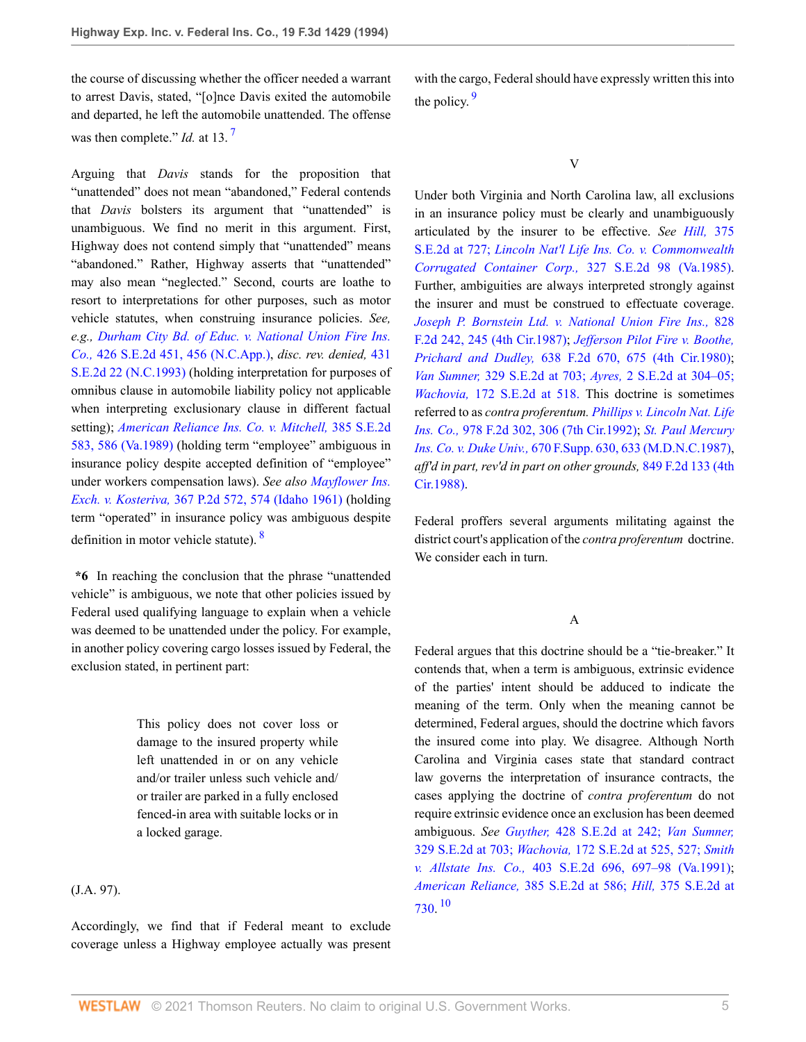the course of discussing whether the officer needed a warrant to arrest Davis, stated, "[o]nce Davis exited the automobile and departed, he left the automobile unattended. The offense was then complete." *Id.* at 13.<sup>[7](#page-6-6)</sup>

<span id="page-4-0"></span>Arguing that *Davis* stands for the proposition that "unattended" does not mean "abandoned," Federal contends that *Davis* bolsters its argument that "unattended" is unambiguous. We find no merit in this argument. First, Highway does not contend simply that "unattended" means "abandoned." Rather, Highway asserts that "unattended" may also mean "neglected." Second, courts are loathe to resort to interpretations for other purposes, such as motor vehicle statutes, when construing insurance policies. *See, e.g., [Durham City Bd. of Educ. v. National Union Fire Ins.](http://www.westlaw.com/Link/Document/FullText?findType=Y&serNum=1993060700&pubNum=711&originatingDoc=I87cdcacc970211d993e6d35cc61aab4a&refType=RP&fi=co_pp_sp_711_456&originationContext=document&vr=3.0&rs=cblt1.0&transitionType=DocumentItem&contextData=(sc.DocLink)#co_pp_sp_711_456) Co.,* [426 S.E.2d 451, 456 \(N.C.App.\)](http://www.westlaw.com/Link/Document/FullText?findType=Y&serNum=1993060700&pubNum=711&originatingDoc=I87cdcacc970211d993e6d35cc61aab4a&refType=RP&fi=co_pp_sp_711_456&originationContext=document&vr=3.0&rs=cblt1.0&transitionType=DocumentItem&contextData=(sc.DocLink)#co_pp_sp_711_456), *disc. rev. denied,* [431](http://www.westlaw.com/Link/Document/FullText?findType=Y&serNum=1993130121&pubNum=711&originatingDoc=I87cdcacc970211d993e6d35cc61aab4a&refType=RP&originationContext=document&vr=3.0&rs=cblt1.0&transitionType=DocumentItem&contextData=(sc.DocLink)) [S.E.2d 22 \(N.C.1993\)](http://www.westlaw.com/Link/Document/FullText?findType=Y&serNum=1993130121&pubNum=711&originatingDoc=I87cdcacc970211d993e6d35cc61aab4a&refType=RP&originationContext=document&vr=3.0&rs=cblt1.0&transitionType=DocumentItem&contextData=(sc.DocLink)) (holding interpretation for purposes of omnibus clause in automobile liability policy not applicable when interpreting exclusionary clause in different factual setting); *[American Reliance Ins. Co. v. Mitchell,](http://www.westlaw.com/Link/Document/FullText?findType=Y&serNum=1989161259&pubNum=711&originatingDoc=I87cdcacc970211d993e6d35cc61aab4a&refType=RP&fi=co_pp_sp_711_586&originationContext=document&vr=3.0&rs=cblt1.0&transitionType=DocumentItem&contextData=(sc.DocLink)#co_pp_sp_711_586)* 385 S.E.2d [583, 586 \(Va.1989\)](http://www.westlaw.com/Link/Document/FullText?findType=Y&serNum=1989161259&pubNum=711&originatingDoc=I87cdcacc970211d993e6d35cc61aab4a&refType=RP&fi=co_pp_sp_711_586&originationContext=document&vr=3.0&rs=cblt1.0&transitionType=DocumentItem&contextData=(sc.DocLink)#co_pp_sp_711_586) (holding term "employee" ambiguous in insurance policy despite accepted definition of "employee" under workers compensation laws). *See also [Mayflower Ins.](http://www.westlaw.com/Link/Document/FullText?findType=Y&serNum=1962125337&pubNum=661&originatingDoc=I87cdcacc970211d993e6d35cc61aab4a&refType=RP&fi=co_pp_sp_661_574&originationContext=document&vr=3.0&rs=cblt1.0&transitionType=DocumentItem&contextData=(sc.DocLink)#co_pp_sp_661_574) Exch. v. Kosteriva,* [367 P.2d 572, 574 \(Idaho 1961\)](http://www.westlaw.com/Link/Document/FullText?findType=Y&serNum=1962125337&pubNum=661&originatingDoc=I87cdcacc970211d993e6d35cc61aab4a&refType=RP&fi=co_pp_sp_661_574&originationContext=document&vr=3.0&rs=cblt1.0&transitionType=DocumentItem&contextData=(sc.DocLink)#co_pp_sp_661_574) (holding term "operated" in insurance policy was ambiguous despite definition in motor vehicle statute). [8](#page-6-7)

**\*6** In reaching the conclusion that the phrase "unattended vehicle" is ambiguous, we note that other policies issued by Federal used qualifying language to explain when a vehicle was deemed to be unattended under the policy. For example, in another policy covering cargo losses issued by Federal, the exclusion stated, in pertinent part:

> This policy does not cover loss or damage to the insured property while left unattended in or on any vehicle and/or trailer unless such vehicle and/ or trailer are parked in a fully enclosed fenced-in area with suitable locks or in a locked garage.

(J.A. 97).

Accordingly, we find that if Federal meant to exclude coverage unless a Highway employee actually was present <span id="page-4-2"></span>with the cargo, Federal should have expressly written this into the policy.  $9$ 

V

Under both Virginia and North Carolina law, all exclusions in an insurance policy must be clearly and unambiguously articulated by the insurer to be effective. *See Hill,* [375](http://www.westlaw.com/Link/Document/FullText?findType=Y&serNum=1989011341&pubNum=711&originatingDoc=I87cdcacc970211d993e6d35cc61aab4a&refType=RP&fi=co_pp_sp_711_727&originationContext=document&vr=3.0&rs=cblt1.0&transitionType=DocumentItem&contextData=(sc.DocLink)#co_pp_sp_711_727) [S.E.2d at 727;](http://www.westlaw.com/Link/Document/FullText?findType=Y&serNum=1989011341&pubNum=711&originatingDoc=I87cdcacc970211d993e6d35cc61aab4a&refType=RP&fi=co_pp_sp_711_727&originationContext=document&vr=3.0&rs=cblt1.0&transitionType=DocumentItem&contextData=(sc.DocLink)#co_pp_sp_711_727) *[Lincoln Nat'l Life Ins. Co. v. Commonwealth](http://www.westlaw.com/Link/Document/FullText?findType=Y&serNum=1985112558&pubNum=711&originatingDoc=I87cdcacc970211d993e6d35cc61aab4a&refType=RP&originationContext=document&vr=3.0&rs=cblt1.0&transitionType=DocumentItem&contextData=(sc.DocLink)) [Corrugated Container Corp.,](http://www.westlaw.com/Link/Document/FullText?findType=Y&serNum=1985112558&pubNum=711&originatingDoc=I87cdcacc970211d993e6d35cc61aab4a&refType=RP&originationContext=document&vr=3.0&rs=cblt1.0&transitionType=DocumentItem&contextData=(sc.DocLink))* 327 S.E.2d 98 (Va.1985). Further, ambiguities are always interpreted strongly against the insurer and must be construed to effectuate coverage. *[Joseph P. Bornstein Ltd. v. National Union Fire Ins.,](http://www.westlaw.com/Link/Document/FullText?findType=Y&serNum=1987112471&pubNum=350&originatingDoc=I87cdcacc970211d993e6d35cc61aab4a&refType=RP&fi=co_pp_sp_350_245&originationContext=document&vr=3.0&rs=cblt1.0&transitionType=DocumentItem&contextData=(sc.DocLink)#co_pp_sp_350_245)* 828 [F.2d 242, 245 \(4th Cir.1987\);](http://www.westlaw.com/Link/Document/FullText?findType=Y&serNum=1987112471&pubNum=350&originatingDoc=I87cdcacc970211d993e6d35cc61aab4a&refType=RP&fi=co_pp_sp_350_245&originationContext=document&vr=3.0&rs=cblt1.0&transitionType=DocumentItem&contextData=(sc.DocLink)#co_pp_sp_350_245) *[Jefferson Pilot Fire v. Boothe,](http://www.westlaw.com/Link/Document/FullText?findType=Y&serNum=1981101182&pubNum=350&originatingDoc=I87cdcacc970211d993e6d35cc61aab4a&refType=RP&fi=co_pp_sp_350_675&originationContext=document&vr=3.0&rs=cblt1.0&transitionType=DocumentItem&contextData=(sc.DocLink)#co_pp_sp_350_675) Prichard and Dudley,* [638 F.2d 670, 675 \(4th Cir.1980\)](http://www.westlaw.com/Link/Document/FullText?findType=Y&serNum=1981101182&pubNum=350&originatingDoc=I87cdcacc970211d993e6d35cc61aab4a&refType=RP&fi=co_pp_sp_350_675&originationContext=document&vr=3.0&rs=cblt1.0&transitionType=DocumentItem&contextData=(sc.DocLink)#co_pp_sp_350_675); *Van Sumner,* [329 S.E.2d at 703;](http://www.westlaw.com/Link/Document/FullText?findType=Y&serNum=1985126834&pubNum=711&originatingDoc=I87cdcacc970211d993e6d35cc61aab4a&refType=RP&fi=co_pp_sp_711_703&originationContext=document&vr=3.0&rs=cblt1.0&transitionType=DocumentItem&contextData=(sc.DocLink)#co_pp_sp_711_703) *Ayres,* [2 S.E.2d at 304–05;](http://www.westlaw.com/Link/Document/FullText?findType=Y&serNum=1939105322&pubNum=711&originatingDoc=I87cdcacc970211d993e6d35cc61aab4a&refType=RP&fi=co_pp_sp_711_304&originationContext=document&vr=3.0&rs=cblt1.0&transitionType=DocumentItem&contextData=(sc.DocLink)#co_pp_sp_711_304) *Wachovia,* [172 S.E.2d at 518.](http://www.westlaw.com/Link/Document/FullText?findType=Y&serNum=1970134464&pubNum=711&originatingDoc=I87cdcacc970211d993e6d35cc61aab4a&refType=RP&fi=co_pp_sp_711_518&originationContext=document&vr=3.0&rs=cblt1.0&transitionType=DocumentItem&contextData=(sc.DocLink)#co_pp_sp_711_518) This doctrine is sometimes referred to as *contra proferentum. [Phillips v. Lincoln Nat. Life](http://www.westlaw.com/Link/Document/FullText?findType=Y&serNum=1992183719&pubNum=350&originatingDoc=I87cdcacc970211d993e6d35cc61aab4a&refType=RP&fi=co_pp_sp_350_306&originationContext=document&vr=3.0&rs=cblt1.0&transitionType=DocumentItem&contextData=(sc.DocLink)#co_pp_sp_350_306) Ins. Co.,* [978 F.2d 302, 306 \(7th Cir.1992\)](http://www.westlaw.com/Link/Document/FullText?findType=Y&serNum=1992183719&pubNum=350&originatingDoc=I87cdcacc970211d993e6d35cc61aab4a&refType=RP&fi=co_pp_sp_350_306&originationContext=document&vr=3.0&rs=cblt1.0&transitionType=DocumentItem&contextData=(sc.DocLink)#co_pp_sp_350_306); *[St. Paul Mercury](http://www.westlaw.com/Link/Document/FullText?findType=Y&serNum=1987122547&pubNum=345&originatingDoc=I87cdcacc970211d993e6d35cc61aab4a&refType=RP&fi=co_pp_sp_345_633&originationContext=document&vr=3.0&rs=cblt1.0&transitionType=DocumentItem&contextData=(sc.DocLink)#co_pp_sp_345_633) Ins. Co. v. Duke Univ.,* [670 F.Supp. 630, 633 \(M.D.N.C.1987\),](http://www.westlaw.com/Link/Document/FullText?findType=Y&serNum=1987122547&pubNum=345&originatingDoc=I87cdcacc970211d993e6d35cc61aab4a&refType=RP&fi=co_pp_sp_345_633&originationContext=document&vr=3.0&rs=cblt1.0&transitionType=DocumentItem&contextData=(sc.DocLink)#co_pp_sp_345_633) *aff'd in part, rev'd in part on other grounds,* [849 F.2d 133 \(4th](http://www.westlaw.com/Link/Document/FullText?findType=Y&serNum=1988081635&pubNum=350&originatingDoc=I87cdcacc970211d993e6d35cc61aab4a&refType=RP&originationContext=document&vr=3.0&rs=cblt1.0&transitionType=DocumentItem&contextData=(sc.DocLink)) [Cir.1988\)](http://www.westlaw.com/Link/Document/FullText?findType=Y&serNum=1988081635&pubNum=350&originatingDoc=I87cdcacc970211d993e6d35cc61aab4a&refType=RP&originationContext=document&vr=3.0&rs=cblt1.0&transitionType=DocumentItem&contextData=(sc.DocLink)).

<span id="page-4-1"></span>Federal proffers several arguments militating against the district court's application of the *contra proferentum* doctrine. We consider each in turn.

A

<span id="page-4-3"></span>Federal argues that this doctrine should be a "tie-breaker." It contends that, when a term is ambiguous, extrinsic evidence of the parties' intent should be adduced to indicate the meaning of the term. Only when the meaning cannot be determined, Federal argues, should the doctrine which favors the insured come into play. We disagree. Although North Carolina and Virginia cases state that standard contract law governs the interpretation of insurance contracts, the cases applying the doctrine of *contra proferentum* do not require extrinsic evidence once an exclusion has been deemed ambiguous. *See Guyther,* [428 S.E.2d at 242;](http://www.westlaw.com/Link/Document/FullText?findType=Y&serNum=1993084824&pubNum=711&originatingDoc=I87cdcacc970211d993e6d35cc61aab4a&refType=RP&fi=co_pp_sp_711_242&originationContext=document&vr=3.0&rs=cblt1.0&transitionType=DocumentItem&contextData=(sc.DocLink)#co_pp_sp_711_242) *[Van Sumner,](http://www.westlaw.com/Link/Document/FullText?findType=Y&serNum=1985126834&pubNum=711&originatingDoc=I87cdcacc970211d993e6d35cc61aab4a&refType=RP&fi=co_pp_sp_711_703&originationContext=document&vr=3.0&rs=cblt1.0&transitionType=DocumentItem&contextData=(sc.DocLink)#co_pp_sp_711_703)* [329 S.E.2d at 703;](http://www.westlaw.com/Link/Document/FullText?findType=Y&serNum=1985126834&pubNum=711&originatingDoc=I87cdcacc970211d993e6d35cc61aab4a&refType=RP&fi=co_pp_sp_711_703&originationContext=document&vr=3.0&rs=cblt1.0&transitionType=DocumentItem&contextData=(sc.DocLink)#co_pp_sp_711_703) *Wachovia,* [172 S.E.2d at 525, 527;](http://www.westlaw.com/Link/Document/FullText?findType=Y&serNum=1970134464&pubNum=711&originatingDoc=I87cdcacc970211d993e6d35cc61aab4a&refType=RP&fi=co_pp_sp_711_525&originationContext=document&vr=3.0&rs=cblt1.0&transitionType=DocumentItem&contextData=(sc.DocLink)#co_pp_sp_711_525) *[Smith](http://www.westlaw.com/Link/Document/FullText?findType=Y&serNum=1991079804&pubNum=711&originatingDoc=I87cdcacc970211d993e6d35cc61aab4a&refType=RP&fi=co_pp_sp_711_697&originationContext=document&vr=3.0&rs=cblt1.0&transitionType=DocumentItem&contextData=(sc.DocLink)#co_pp_sp_711_697) v. Allstate Ins. Co.,* [403 S.E.2d 696, 697–98 \(Va.1991\)](http://www.westlaw.com/Link/Document/FullText?findType=Y&serNum=1991079804&pubNum=711&originatingDoc=I87cdcacc970211d993e6d35cc61aab4a&refType=RP&fi=co_pp_sp_711_697&originationContext=document&vr=3.0&rs=cblt1.0&transitionType=DocumentItem&contextData=(sc.DocLink)#co_pp_sp_711_697); *American Reliance,* [385 S.E.2d at 586;](http://www.westlaw.com/Link/Document/FullText?findType=Y&serNum=1989161259&pubNum=711&originatingDoc=I87cdcacc970211d993e6d35cc61aab4a&refType=RP&fi=co_pp_sp_711_586&originationContext=document&vr=3.0&rs=cblt1.0&transitionType=DocumentItem&contextData=(sc.DocLink)#co_pp_sp_711_586) *Hill,* [375 S.E.2d at](http://www.westlaw.com/Link/Document/FullText?findType=Y&serNum=1989011341&pubNum=711&originatingDoc=I87cdcacc970211d993e6d35cc61aab4a&refType=RP&fi=co_pp_sp_711_730&originationContext=document&vr=3.0&rs=cblt1.0&transitionType=DocumentItem&contextData=(sc.DocLink)#co_pp_sp_711_730) [730](http://www.westlaw.com/Link/Document/FullText?findType=Y&serNum=1989011341&pubNum=711&originatingDoc=I87cdcacc970211d993e6d35cc61aab4a&refType=RP&fi=co_pp_sp_711_730&originationContext=document&vr=3.0&rs=cblt1.0&transitionType=DocumentItem&contextData=(sc.DocLink)#co_pp_sp_711_730). [10](#page-6-9)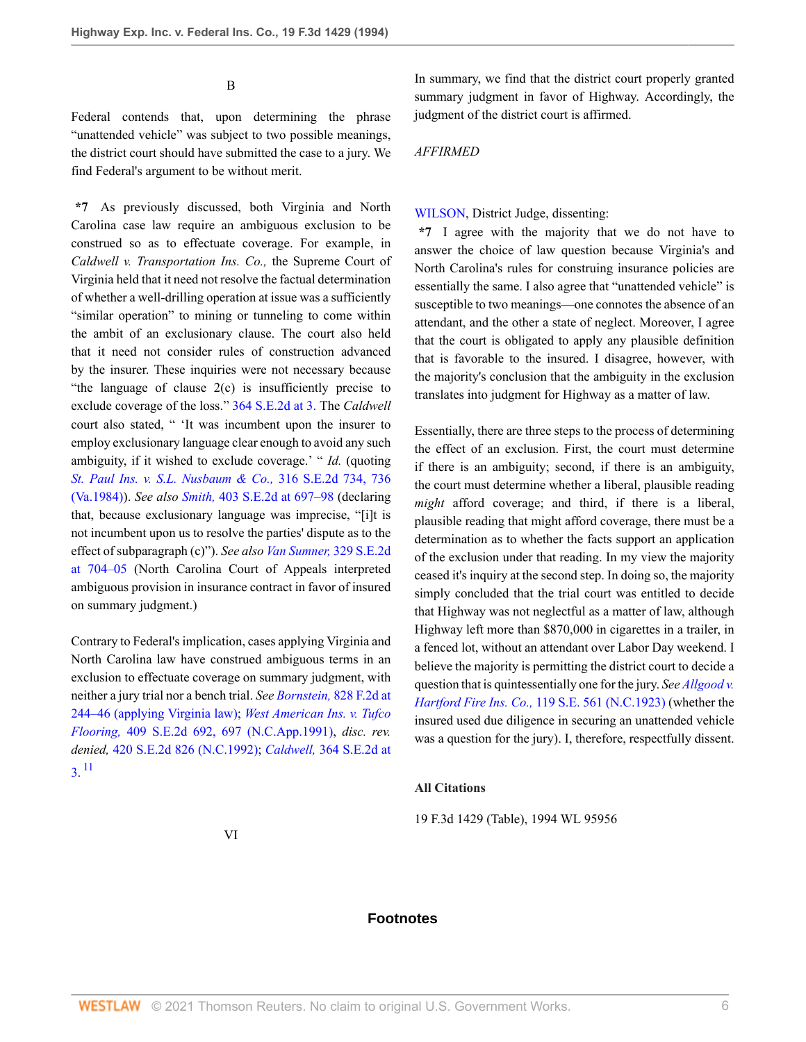B

Federal contends that, upon determining the phrase "unattended vehicle" was subject to two possible meanings, the district court should have submitted the case to a jury. We find Federal's argument to be without merit.

**\*7** As previously discussed, both Virginia and North Carolina case law require an ambiguous exclusion to be construed so as to effectuate coverage. For example, in *Caldwell v. Transportation Ins. Co.,* the Supreme Court of Virginia held that it need not resolve the factual determination of whether a well-drilling operation at issue was a sufficiently "similar operation" to mining or tunneling to come within the ambit of an exclusionary clause. The court also held that it need not consider rules of construction advanced by the insurer. These inquiries were not necessary because "the language of clause 2(c) is insufficiently precise to exclude coverage of the loss." [364 S.E.2d at 3.](http://www.westlaw.com/Link/Document/FullText?findType=Y&serNum=1988009985&pubNum=711&originatingDoc=I87cdcacc970211d993e6d35cc61aab4a&refType=RP&fi=co_pp_sp_711_3&originationContext=document&vr=3.0&rs=cblt1.0&transitionType=DocumentItem&contextData=(sc.DocLink)#co_pp_sp_711_3) The *Caldwell* court also stated, " 'It was incumbent upon the insurer to employ exclusionary language clear enough to avoid any such ambiguity, if it wished to exclude coverage.' " *Id.* (quoting *[St. Paul Ins. v. S.L. Nusbaum & Co.,](http://www.westlaw.com/Link/Document/FullText?findType=Y&serNum=1984129646&pubNum=711&originatingDoc=I87cdcacc970211d993e6d35cc61aab4a&refType=RP&fi=co_pp_sp_711_736&originationContext=document&vr=3.0&rs=cblt1.0&transitionType=DocumentItem&contextData=(sc.DocLink)#co_pp_sp_711_736)* 316 S.E.2d 734, 736 [\(Va.1984\)\)](http://www.westlaw.com/Link/Document/FullText?findType=Y&serNum=1984129646&pubNum=711&originatingDoc=I87cdcacc970211d993e6d35cc61aab4a&refType=RP&fi=co_pp_sp_711_736&originationContext=document&vr=3.0&rs=cblt1.0&transitionType=DocumentItem&contextData=(sc.DocLink)#co_pp_sp_711_736). *See also Smith,* [403 S.E.2d at 697–98](http://www.westlaw.com/Link/Document/FullText?findType=Y&serNum=1991079804&pubNum=711&originatingDoc=I87cdcacc970211d993e6d35cc61aab4a&refType=RP&fi=co_pp_sp_711_697&originationContext=document&vr=3.0&rs=cblt1.0&transitionType=DocumentItem&contextData=(sc.DocLink)#co_pp_sp_711_697) (declaring that, because exclusionary language was imprecise, "[i]t is not incumbent upon us to resolve the parties' dispute as to the effect of subparagraph (c)"). *See also [Van Sumner,](http://www.westlaw.com/Link/Document/FullText?findType=Y&serNum=1985126834&pubNum=711&originatingDoc=I87cdcacc970211d993e6d35cc61aab4a&refType=RP&fi=co_pp_sp_711_704&originationContext=document&vr=3.0&rs=cblt1.0&transitionType=DocumentItem&contextData=(sc.DocLink)#co_pp_sp_711_704)* 329 S.E.2d [at 704–05](http://www.westlaw.com/Link/Document/FullText?findType=Y&serNum=1985126834&pubNum=711&originatingDoc=I87cdcacc970211d993e6d35cc61aab4a&refType=RP&fi=co_pp_sp_711_704&originationContext=document&vr=3.0&rs=cblt1.0&transitionType=DocumentItem&contextData=(sc.DocLink)#co_pp_sp_711_704) (North Carolina Court of Appeals interpreted ambiguous provision in insurance contract in favor of insured on summary judgment.)

<span id="page-5-0"></span>Contrary to Federal's implication, cases applying Virginia and North Carolina law have construed ambiguous terms in an exclusion to effectuate coverage on summary judgment, with neither a jury trial nor a bench trial. *See Bornstein,* [828 F.2d at](http://www.westlaw.com/Link/Document/FullText?findType=Y&serNum=1987112471&pubNum=350&originatingDoc=I87cdcacc970211d993e6d35cc61aab4a&refType=RP&fi=co_pp_sp_350_244&originationContext=document&vr=3.0&rs=cblt1.0&transitionType=DocumentItem&contextData=(sc.DocLink)#co_pp_sp_350_244) [244–46 \(applying Virginia law\);](http://www.westlaw.com/Link/Document/FullText?findType=Y&serNum=1987112471&pubNum=350&originatingDoc=I87cdcacc970211d993e6d35cc61aab4a&refType=RP&fi=co_pp_sp_350_244&originationContext=document&vr=3.0&rs=cblt1.0&transitionType=DocumentItem&contextData=(sc.DocLink)#co_pp_sp_350_244) *[West American Ins. v. Tufco](http://www.westlaw.com/Link/Document/FullText?findType=Y&serNum=1991182030&pubNum=711&originatingDoc=I87cdcacc970211d993e6d35cc61aab4a&refType=RP&fi=co_pp_sp_711_697&originationContext=document&vr=3.0&rs=cblt1.0&transitionType=DocumentItem&contextData=(sc.DocLink)#co_pp_sp_711_697) Flooring,* [409 S.E.2d 692, 697 \(N.C.App.1991\)](http://www.westlaw.com/Link/Document/FullText?findType=Y&serNum=1991182030&pubNum=711&originatingDoc=I87cdcacc970211d993e6d35cc61aab4a&refType=RP&fi=co_pp_sp_711_697&originationContext=document&vr=3.0&rs=cblt1.0&transitionType=DocumentItem&contextData=(sc.DocLink)#co_pp_sp_711_697), *disc. rev. denied,* [420 S.E.2d 826 \(N.C.1992\)](http://www.westlaw.com/Link/Document/FullText?findType=Y&serNum=1992171899&pubNum=711&originatingDoc=I87cdcacc970211d993e6d35cc61aab4a&refType=RP&originationContext=document&vr=3.0&rs=cblt1.0&transitionType=DocumentItem&contextData=(sc.DocLink)); *Caldwell,* [364 S.E.2d at](http://www.westlaw.com/Link/Document/FullText?findType=Y&serNum=1988009985&pubNum=711&originatingDoc=I87cdcacc970211d993e6d35cc61aab4a&refType=RP&fi=co_pp_sp_711_3&originationContext=document&vr=3.0&rs=cblt1.0&transitionType=DocumentItem&contextData=(sc.DocLink)#co_pp_sp_711_3) [3](http://www.westlaw.com/Link/Document/FullText?findType=Y&serNum=1988009985&pubNum=711&originatingDoc=I87cdcacc970211d993e6d35cc61aab4a&refType=RP&fi=co_pp_sp_711_3&originationContext=document&vr=3.0&rs=cblt1.0&transitionType=DocumentItem&contextData=(sc.DocLink)#co_pp_sp_711_3). [11](#page-6-10)

In summary, we find that the district court properly granted summary judgment in favor of Highway. Accordingly, the judgment of the district court is affirmed.

#### *AFFIRMED*

#### [WILSON,](http://www.westlaw.com/Link/Document/FullText?findType=h&pubNum=176284&cite=0318298801&originatingDoc=I87cdcacc970211d993e6d35cc61aab4a&refType=RQ&originationContext=document&vr=3.0&rs=cblt1.0&transitionType=DocumentItem&contextData=(sc.DocLink)) District Judge, dissenting:

**\*7** I agree with the majority that we do not have to answer the choice of law question because Virginia's and North Carolina's rules for construing insurance policies are essentially the same. I also agree that "unattended vehicle" is susceptible to two meanings—one connotes the absence of an attendant, and the other a state of neglect. Moreover, I agree that the court is obligated to apply any plausible definition that is favorable to the insured. I disagree, however, with the majority's conclusion that the ambiguity in the exclusion translates into judgment for Highway as a matter of law.

Essentially, there are three steps to the process of determining the effect of an exclusion. First, the court must determine if there is an ambiguity; second, if there is an ambiguity, the court must determine whether a liberal, plausible reading *might* afford coverage; and third, if there is a liberal, plausible reading that might afford coverage, there must be a determination as to whether the facts support an application of the exclusion under that reading. In my view the majority ceased it's inquiry at the second step. In doing so, the majority simply concluded that the trial court was entitled to decide that Highway was not neglectful as a matter of law, although Highway left more than \$870,000 in cigarettes in a trailer, in a fenced lot, without an attendant over Labor Day weekend. I believe the majority is permitting the district court to decide a question that is quintessentially one for the jury. *See [Allgood v.](http://www.westlaw.com/Link/Document/FullText?findType=Y&serNum=1923103480&pubNum=710&originatingDoc=I87cdcacc970211d993e6d35cc61aab4a&refType=RP&originationContext=document&vr=3.0&rs=cblt1.0&transitionType=DocumentItem&contextData=(sc.DocLink)) Hartford Fire Ins. Co.,* [119 S.E. 561 \(N.C.1923\)](http://www.westlaw.com/Link/Document/FullText?findType=Y&serNum=1923103480&pubNum=710&originatingDoc=I87cdcacc970211d993e6d35cc61aab4a&refType=RP&originationContext=document&vr=3.0&rs=cblt1.0&transitionType=DocumentItem&contextData=(sc.DocLink)) (whether the insured used due diligence in securing an unattended vehicle was a question for the jury). I, therefore, respectfully dissent.

#### **All Citations**

19 F.3d 1429 (Table), 1994 WL 95956

#### VI